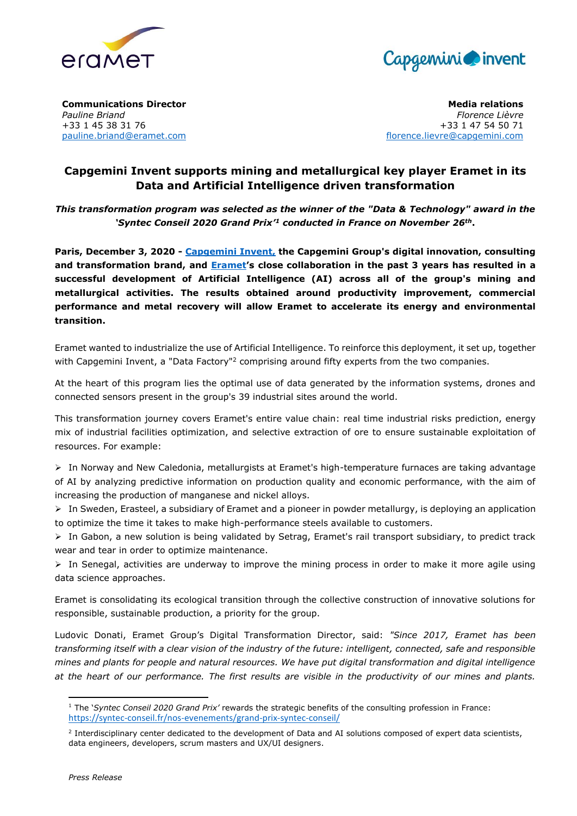



**Communications Director** *Pauline Briand* +33 1 45 38 31 76 [pauline.briand@eramet.com](mailto:pauline.briand@eramet.com)

**Media relations** *Florence Lièvre* +33 1 47 54 50 71 [florence.lievre@capgemini.com](mailto:michele.mooreduhen@capgemini.com)

## **Capgemini Invent supports mining and metallurgical key player Eramet in its Data and Artificial Intelligence driven transformation**

*This transformation program was selected as the winner of the "Data & Technology" award in the 'Syntec Conseil 2020 Grand Prix'<sup>1</sup> conducted in France on November 26th***.**

**Paris, December 3, 2020 - [Capgemini Invent,](http://www.capgemini.com/invent) the Capgemini Group's digital innovation, consulting and transformation brand, and [Eramet](http://www.eramet.com/)'s close collaboration in the past 3 years has resulted in a successful development of Artificial Intelligence (AI) across all of the group's mining and metallurgical activities. The results obtained around productivity improvement, commercial performance and metal recovery will allow Eramet to accelerate its energy and environmental transition.** 

Eramet wanted to industrialize the use of Artificial Intelligence. To reinforce this deployment, it set up, together with Capgemini Invent, a "Data Factory"<sup>2</sup> comprising around fifty experts from the two companies.

At the heart of this program lies the optimal use of data generated by the information systems, drones and connected sensors present in the group's 39 industrial sites around the world.

This transformation journey covers Eramet's entire value chain: real time industrial risks prediction, energy mix of industrial facilities optimization, and selective extraction of ore to ensure sustainable exploitation of resources. For example:

 $\triangleright$  In Norway and New Caledonia, metallurgists at Eramet's high-temperature furnaces are taking advantage of AI by analyzing predictive information on production quality and economic performance, with the aim of increasing the production of manganese and nickel alloys.

 $\triangleright$  In Sweden, Erasteel, a subsidiary of Eramet and a pioneer in powder metallurgy, is deploying an application to optimize the time it takes to make high-performance steels available to customers.

 $\triangleright$  In Gabon, a new solution is being validated by Setrag, Eramet's rail transport subsidiary, to predict track wear and tear in order to optimize maintenance.

 $\triangleright$  In Senegal, activities are underway to improve the mining process in order to make it more agile using data science approaches.

Eramet is consolidating its ecological transition through the collective construction of innovative solutions for responsible, sustainable production, a priority for the group.

Ludovic Donati, Eramet Group's Digital Transformation Director, said: *"Since 2017, Eramet has been transforming itself with a clear vision of the industry of the future: intelligent, connected, safe and responsible mines and plants for people and natural resources. We have put digital transformation and digital intelligence at the heart of our performance. The first results are visible in the productivity of our mines and plants.* 

1

<sup>1</sup> The '*Syntec Conseil 2020 Grand Prix'* rewards the strategic benefits of the consulting profession in France: <https://syntec-conseil.fr/nos-evenements/grand-prix-syntec-conseil/>

<sup>&</sup>lt;sup>2</sup> Interdisciplinary center dedicated to the development of Data and AI solutions composed of expert data scientists, data engineers, developers, scrum masters and UX/UI designers.